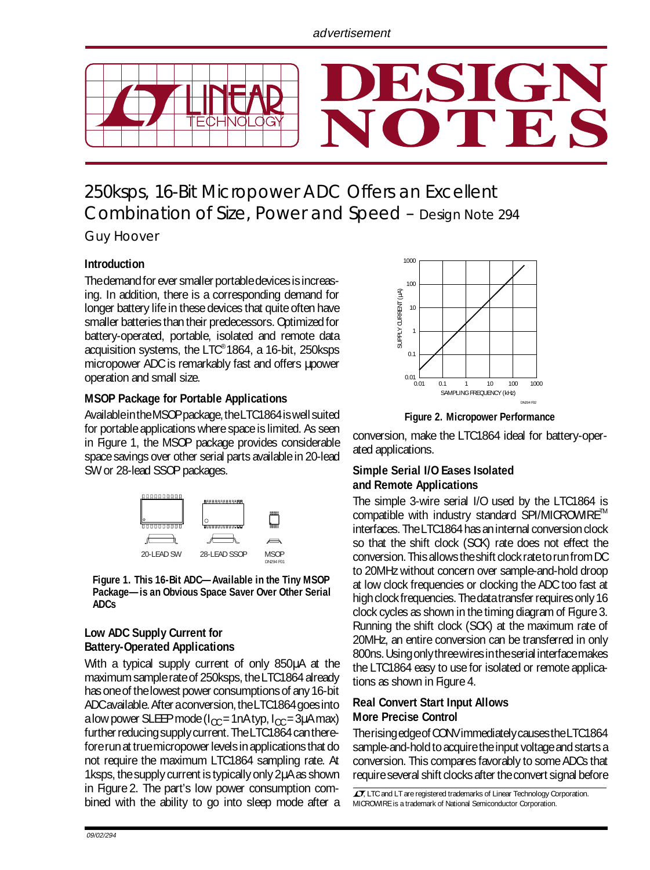

# 250ksps, 16-Bit Micropower ADC Offers an Excellent Combination of Size, Power and Speed – Design Note 294

Guy Hoover

## **Introduction**

The demand for ever smaller portable devices is increasing. In addition, there is a corresponding demand for longer battery life in these devices that quite often have smaller batteries than their predecessors. Optimized for battery-operated, portable, isolated and remote data acquisition systems, the LTC® 1864, a 16-bit, 250ksps micropower ADC is remarkably fast and offers µpower operation and small size.

#### **MSOP Package for Portable Applications**

Available in the MSOP package, the LTC1864 is well suited for portable applications where space is limited. As seen in Figure 1, the MSOP package provides considerable space savings over other serial parts available in 20-lead SW or 28-lead SSOP packages.



**Figure 1. This 16-Bit ADC—Available in the Tiny MSOP Package—is an Obvious Space Saver Over Other Serial ADCs**

#### **Low ADC Supply Current for Battery-Operated Applications**

With a typical supply current of only 850µA at the maximum sample rate of 250ksps, the LTC1864 already has one of the lowest power consumptions of any 16-bit ADC available. After a conversion, the LTC1864 goes into a low power SLEEP mode ( $I_{CC}$  = 1nA typ,  $I_{CC}$  = 3µA max) further reducing supply current. The LTC1864 can therefore run at true micropower levels in applications that do not require the maximum LTC1864 sampling rate. At 1ksps, the supply current is typically only 2µA as shown in Figure 2. The part's low power consumption combined with the ability to go into sleep mode after a



**Figure 2. Micropower Performance**

conversion, make the LTC1864 ideal for battery-operated applications.

#### **Simple Serial I/O Eases Isolated and Remote Applications**

The simple 3-wire serial I/O used by the LTC1864 is compatible with industry standard SPI/MICROWIRE™ interfaces. The LTC1864 has an internal conversion clock so that the shift clock (SCK) rate does not effect the conversion. This allows the shift clock rate to run from DC to 20MHz without concern over sample-and-hold droop at low clock frequencies or clocking the ADC too fast at high clock frequencies. The data transfer requires only 16 clock cycles as shown in the timing diagram of Figure 3. Running the shift clock (SCK) at the maximum rate of 20MHz, an entire conversion can be transferred in only 800ns. Using only three wires in the serial interface makes the LTC1864 easy to use for isolated or remote applications as shown in Figure 4.

## **Real Convert Start Input Allows More Precise Control**

The rising edge of CONV immediately causes the LTC1864 sample-and-hold to acquire the input voltage and starts a conversion. This compares favorably to some ADCs that require several shift clocks after the convert signal before

 $\sqrt{27}$ , LTC and LT are registered trademarks of Linear Technology Corporation. MICROWIRE is a trademark of National Semiconductor Corporation.